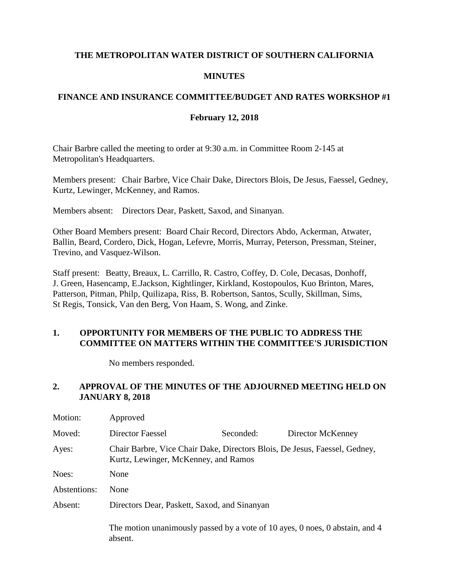## **THE METROPOLITAN WATER DISTRICT OF SOUTHERN CALIFORNIA**

### **MINUTES**

# **FINANCE AND INSURANCE COMMITTEE/BUDGET AND RATES WORKSHOP #1**

### **February 12, 2018**

Chair Barbre called the meeting to order at 9:30 a.m. in Committee Room 2-145 at Metropolitan's Headquarters.

Members present: Chair Barbre, Vice Chair Dake, Directors Blois, De Jesus, Faessel, Gedney, Kurtz, Lewinger, McKenney, and Ramos.

Members absent: Directors Dear, Paskett, Saxod, and Sinanyan.

Other Board Members present: Board Chair Record, Directors Abdo, Ackerman, Atwater, Ballin, Beard, Cordero, Dick, Hogan, Lefevre, Morris, Murray, Peterson, Pressman, Steiner, Trevino, and Vasquez-Wilson.

Staff present: Beatty, Breaux, L. Carrillo, R. Castro, Coffey, D. Cole, Decasas, Donhoff, J. Green, Hasencamp, E.Jackson, Kightlinger, Kirkland, Kostopoulos, Kuo Brinton, Mares, Patterson, Pitman, Philp, Quilizapa, Riss, B. Robertson, Santos, Scully, Skillman, Sims, St Regis, Tonsick, Van den Berg, Von Haam, S. Wong, and Zinke.

### **1. OPPORTUNITY FOR MEMBERS OF THE PUBLIC TO ADDRESS THE COMMITTEE ON MATTERS WITHIN THE COMMITTEE'S JURISDICTION**

No members responded.

### **2. APPROVAL OF THE MINUTES OF THE ADJOURNED MEETING HELD ON JANUARY 8, 2018**

| Motion:      | Approved                                                                                                           |           |                                                                              |  |
|--------------|--------------------------------------------------------------------------------------------------------------------|-----------|------------------------------------------------------------------------------|--|
| Moved:       | Director Faessel                                                                                                   | Seconded: | Director McKenney                                                            |  |
| Ayes:        | Chair Barbre, Vice Chair Dake, Directors Blois, De Jesus, Faessel, Gedney,<br>Kurtz, Lewinger, McKenney, and Ramos |           |                                                                              |  |
| Noes:        | None                                                                                                               |           |                                                                              |  |
| Abstentions: | None                                                                                                               |           |                                                                              |  |
| Absent:      | Directors Dear, Paskett, Saxod, and Sinanyan                                                                       |           |                                                                              |  |
|              | absent                                                                                                             |           | The motion unanimously passed by a vote of 10 ayes, 0 noes, 0 abstain, and 4 |  |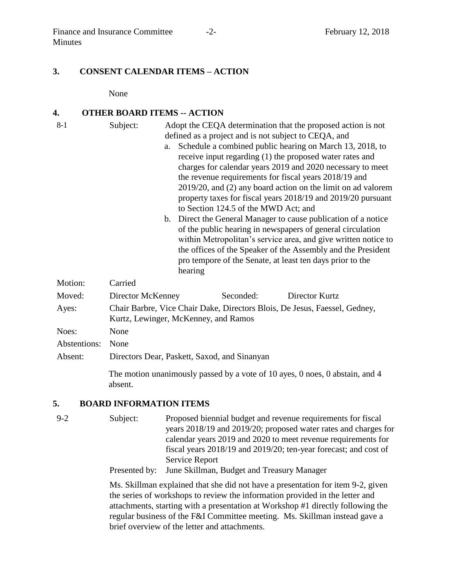#### **3. CONSENT CALENDAR ITEMS – ACTION**

None

#### **4. OTHER BOARD ITEMS -- ACTION**

- 8-1 Subject: Adopt the CEQA determination that the proposed action is not defined as a project and is not subject to CEQA, and
	- a. Schedule a combined public hearing on March 13, 2018, to receive input regarding (1) the proposed water rates and charges for calendar years 2019 and 2020 necessary to meet the revenue requirements for fiscal years 2018/19 and 2019/20, and (2) any board action on the limit on ad valorem property taxes for fiscal years 2018/19 and 2019/20 pursuant to Section 124.5 of the MWD Act; and
	- b. Direct the General Manager to cause publication of a notice of the public hearing in newspapers of general circulation within Metropolitan's service area, and give written notice to the offices of the Speaker of the Assembly and the President pro tempore of the Senate, at least ten days prior to the hearing

| Motion:      | Carried                                                                                                            |           |                                                                               |  |
|--------------|--------------------------------------------------------------------------------------------------------------------|-----------|-------------------------------------------------------------------------------|--|
| Moved:       | Director McKenney                                                                                                  | Seconded: | Director Kurtz                                                                |  |
| Ayes:        | Chair Barbre, Vice Chair Dake, Directors Blois, De Jesus, Faessel, Gedney,<br>Kurtz, Lewinger, McKenney, and Ramos |           |                                                                               |  |
| Noes:        | None                                                                                                               |           |                                                                               |  |
| Abstentions: | None                                                                                                               |           |                                                                               |  |
| Absent:      | Directors Dear, Paskett, Saxod, and Sinanyan                                                                       |           |                                                                               |  |
|              |                                                                                                                    |           | The metics meanimenate negated by a rote of 10 error. One on O shotain, and A |  |

The motion unanimously passed by a vote of 10 ayes, 0 noes, 0 abstain, and 4 absent.

#### **5. BOARD INFORMATION ITEMS**

9-2 Subject: Proposed biennial budget and revenue requirements for fiscal years 2018/19 and 2019/20; proposed water rates and charges for calendar years 2019 and 2020 to meet revenue requirements for fiscal years 2018/19 and 2019/20; ten-year forecast; and cost of Service Report

Presented by: June Skillman, Budget and Treasury Manager

Ms. Skillman explained that she did not have a presentation for item 9-2, given the series of workshops to review the information provided in the letter and attachments, starting with a presentation at Workshop #1 directly following the regular business of the F&I Committee meeting. Ms. Skillman instead gave a brief overview of the letter and attachments.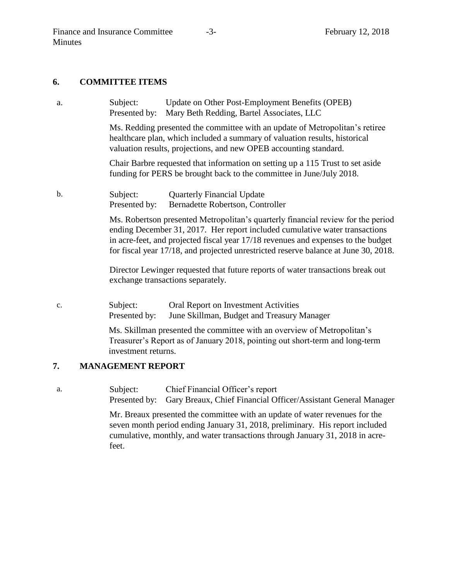#### **6. COMMITTEE ITEMS**

a. Subject: Update on Other Post-Employment Benefits (OPEB) Presented by: Mary Beth Redding, Bartel Associates, LLC

> Ms. Redding presented the committee with an update of Metropolitan's retiree healthcare plan, which included a summary of valuation results, historical valuation results, projections, and new OPEB accounting standard.

Chair Barbre requested that information on setting up a 115 Trust to set aside funding for PERS be brought back to the committee in June/July 2018.

## b. Subject: Quarterly Financial Update Presented by: Bernadette Robertson, Controller

Ms. Robertson presented Metropolitan's quarterly financial review for the period ending December 31, 2017. Her report included cumulative water transactions in acre-feet, and projected fiscal year 17/18 revenues and expenses to the budget for fiscal year 17/18, and projected unrestricted reserve balance at June 30, 2018.

Director Lewinger requested that future reports of water transactions break out exchange transactions separately.

c. Subject: Oral Report on Investment Activities Presented by: June Skillman, Budget and Treasury Manager

> Ms. Skillman presented the committee with an overview of Metropolitan's Treasurer's Report as of January 2018, pointing out short-term and long-term investment returns.

### **7. MANAGEMENT REPORT**

- a. Subject: Chief Financial Officer's report
	- Presented by: Gary Breaux, Chief Financial Officer/Assistant General Manager

Mr. Breaux presented the committee with an update of water revenues for the seven month period ending January 31, 2018, preliminary. His report included cumulative, monthly, and water transactions through January 31, 2018 in acrefeet.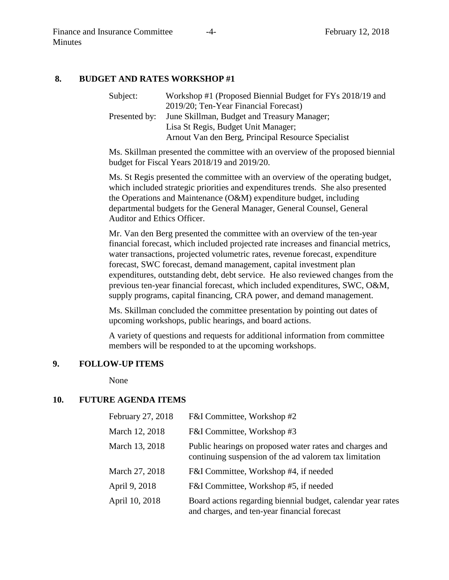### **8. BUDGET AND RATES WORKSHOP #1**

| Subject:      | Workshop #1 (Proposed Biennial Budget for FYs 2018/19 and |  |
|---------------|-----------------------------------------------------------|--|
|               | 2019/20; Ten-Year Financial Forecast)                     |  |
| Presented by: | June Skillman, Budget and Treasury Manager;               |  |
|               | Lisa St Regis, Budget Unit Manager;                       |  |
|               | Arnout Van den Berg, Principal Resource Specialist        |  |

Ms. Skillman presented the committee with an overview of the proposed biennial budget for Fiscal Years 2018/19 and 2019/20.

Ms. St Regis presented the committee with an overview of the operating budget, which included strategic priorities and expenditures trends. She also presented the Operations and Maintenance (O&M) expenditure budget, including departmental budgets for the General Manager, General Counsel, General Auditor and Ethics Officer.

Mr. Van den Berg presented the committee with an overview of the ten-year financial forecast, which included projected rate increases and financial metrics, water transactions, projected volumetric rates, revenue forecast, expenditure forecast, SWC forecast, demand management, capital investment plan expenditures, outstanding debt, debt service. He also reviewed changes from the previous ten-year financial forecast, which included expenditures, SWC, O&M, supply programs, capital financing, CRA power, and demand management.

Ms. Skillman concluded the committee presentation by pointing out dates of upcoming workshops, public hearings, and board actions.

A variety of questions and requests for additional information from committee members will be responded to at the upcoming workshops.

## **9. FOLLOW-UP ITEMS**

None

### **10. FUTURE AGENDA ITEMS**

| February 27, 2018 | F&I Committee, Workshop #2                                                                                        |
|-------------------|-------------------------------------------------------------------------------------------------------------------|
| March 12, 2018    | F&I Committee, Workshop #3                                                                                        |
| March 13, 2018    | Public hearings on proposed water rates and charges and<br>continuing suspension of the ad valorem tax limitation |
| March 27, 2018    | F&I Committee, Workshop #4, if needed                                                                             |
| April 9, 2018     | F&I Committee, Workshop #5, if needed                                                                             |
| April 10, 2018    | Board actions regarding biennial budget, calendar year rates<br>and charges, and ten-year financial forecast      |